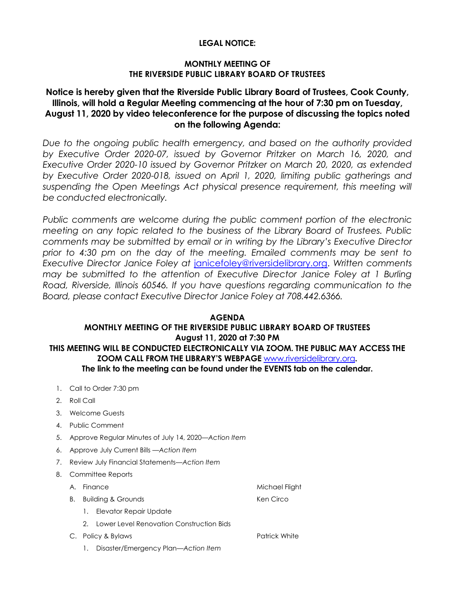### **LEGAL NOTICE:**

### **MONTHLY MEETING OF THE RIVERSIDE PUBLIC LIBRARY BOARD OF TRUSTEES**

# **Notice is hereby given that the Riverside Public Library Board of Trustees, Cook County, Illinois, will hold a Regular Meeting commencing at the hour of 7:30 pm on Tuesday, August 11, 2020 by video teleconference for the purpose of discussing the topics noted on the following Agenda:**

Due to the ongoing public health emergency, and based on the authority provided *by Executive Order 2020-07, issued by Governor Pritzker on March 16, 2020, and Executive Order 2020-10 issued by Governor Pritzker on March 20, 2020, as extended by Executive Order 2020-018, issued on April 1, 2020, limiting public gatherings and*  suspending the Open Meetings Act physical presence requirement, this meeting will *be conducted electronically.* 

*Public comments are welcome during the public comment portion of the electronic meeting on any topic related to the business of the Library Board of Trustees. Public comments may be submitted by email or in writing by the Library's Executive Director prior to 4:30 pm on the day of the meeting. Emailed comments may be sent to Executive Director Janice Foley at* [janicefoley@riversidelibrary.org.](mailto:janicefoley@riversidelibrary.org) *Written comments may be submitted to the attention of Executive Director Janice Foley at 1 Burling Road, Riverside, Illinois 60546. If you have questions regarding communication to the Board, please contact Executive Director Janice Foley at 708.442.6366.* 

#### **AGENDA MONTHLY MEETING OF THE RIVERSIDE PUBLIC LIBRARY BOARD OF TRUSTEES August 11, 2020 at 7:30 PM THIS MEETING WILL BE CONDUCTED ELECTRONICALLY VIA ZOOM. THE PUBLIC MAY ACCESS THE ZOOM CALL FROM THE LIBRARY'S WEBPAGE** [www.riversidelibrary.org](http://www.riversidelibrary.org/)**. The link to the meeting can be found under the EVENTS tab on the calendar.**

- 1. Call to Order 7:30 pm
- 2. Roll Call
- 3. Welcome Guests
- 4. Public Comment
- 5. Approve Regular Minutes of July 14, 2020*—Action Item*
- 6. Approve July Current Bills —*Action Item*
- 7. Review July Financial Statements—*Action Item*
- 8. Committee Reports
	- A. Finance Michael Flight
	- B. Building & Grounds **Ken Circo** Ken Circo
		- 1. Elevator Repair Update
		- 2. Lower Level Renovation Construction Bids
	- C. Policy & Bylaws **Patrick White** Patrick White
		- 1. Disaster/Emergency Plan*—Action Item*
- 
-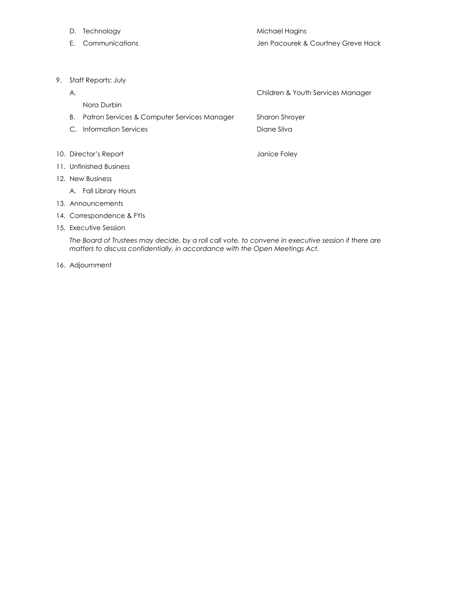- D. Technology and the matter of the Michael Hagins
- 
- E. Communications Jen Pacourek & Courtney Greve Hack
- 9. Staff Reports: July
- A. Children & Youth Services Manager Nora Durbin B. Patron Services & Computer Services ManagerSharon Shroyer C. Information Services **Diane Silva Diane Silva** 10. Director's Report **Containers** and a state of the United States of Tanice Foley 11. Unfinished Business 12. New Business A. Fall Library Hours 13. Announcements 14. Correspondence & FYIs
- 15. Executive Session

*The Board of Trustees may decide, by a roll call vote, to convene in executive session if there are matters to discuss confidentially, in accordance with the Open Meetings Act.*

16. Adjournment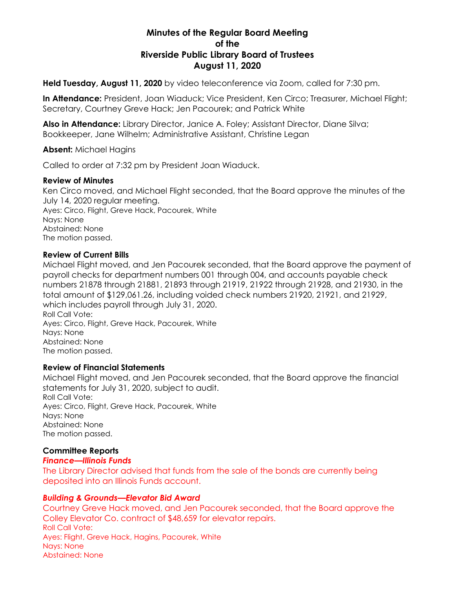# **Minutes of the Regular Board Meeting of the Riverside Public Library Board of Trustees August 11, 2020**

**Held Tuesday, August 11, 2020** by video teleconference via Zoom, called for 7:30 pm.

**In Attendance:** President, Joan Wiaduck; Vice President, Ken Circo; Treasurer, Michael Flight; Secretary, Courtney Greve Hack; Jen Pacourek; and Patrick White

**Also in Attendance:** Library Director, Janice A. Foley; Assistant Director, Diane Silva; Bookkeeper, Jane Wilhelm; Administrative Assistant, Christine Legan

**Absent:** Michael Hagins

Called to order at 7:32 pm by President Joan Wiaduck.

#### **Review of Minutes**

Ken Circo moved, and Michael Flight seconded, that the Board approve the minutes of the July 14, 2020 regular meeting. Ayes: Circo, Flight, Greve Hack, Pacourek, White Nays: None Abstained: None The motion passed.

#### **Review of Current Bills**

Michael Flight moved, and Jen Pacourek seconded, that the Board approve the payment of payroll checks for department numbers 001 through 004, and accounts payable check numbers 21878 through 21881, 21893 through 21919, 21922 through 21928, and 21930, in the total amount of \$129,061.26, including voided check numbers 21920, 21921, and 21929, which includes payroll through July 31, 2020. Roll Call Vote: Ayes: Circo, Flight, Greve Hack, Pacourek, White Nays: None Abstained: None The motion passed.

## **Review of Financial Statements**

Michael Flight moved, and Jen Pacourek seconded, that the Board approve the financial statements for July 31, 2020, subject to audit. Roll Call Vote: Ayes: Circo, Flight, Greve Hack, Pacourek, White Nays: None Abstained: None The motion passed.

## **Committee Reports**

## *Finance—Illinois Funds*

The Library Director advised that funds from the sale of the bonds are currently being deposited into an Illinois Funds account.

#### *Building & Grounds—Elevator Bid Award*

Courtney Greve Hack moved, and Jen Pacourek seconded, that the Board approve the Colley Elevator Co. contract of \$48,659 for elevator repairs. Roll Call Vote: Ayes: Flight, Greve Hack, Hagins, Pacourek, White Nays: None Abstained: None